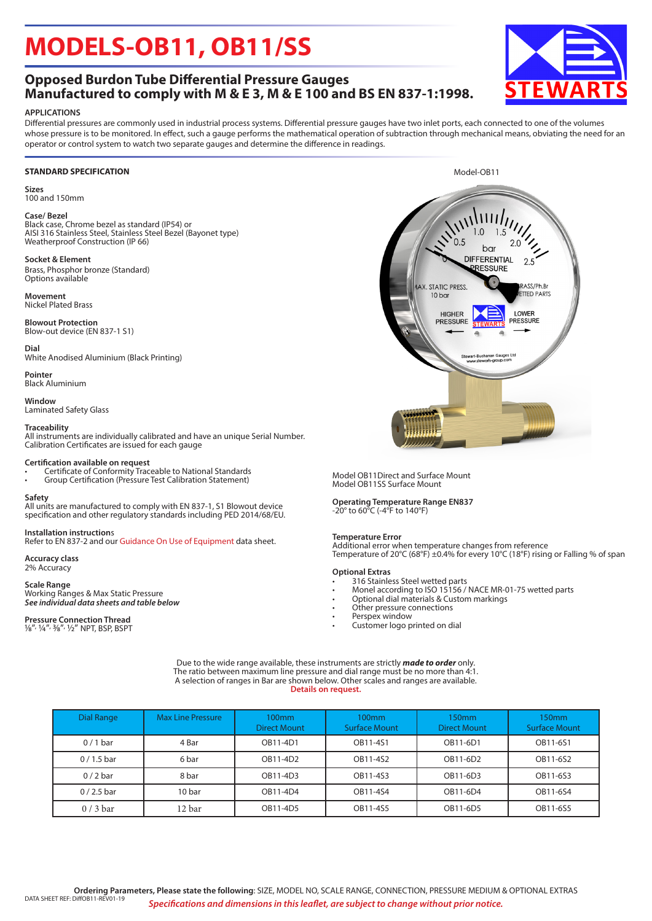## **MODELS-OB11, OB11/SS**

## **Opposed Burdon Tube Differential Pressure Gauges Manufactured to comply with M & E 3, M & E 100 and BS EN 837-1:1998.**

### **APPLICATIONS**

Differential pressures are commonly used in industrial process systems. Differential pressure gauges have two inlet ports, each connected to one of the volumes whose pressure is to be monitored. In effect, such a gauge performs the mathematical operation of subtraction through mechanical means, obviating the need for an operator or control system to watch two separate gauges and determine the difference in readings.

#### **STANDARD SPECIFICATION**

**Sizes** 100 and 150mm

### **Case/ Bezel**

Black case, Chrome bezel as standard (IP54) or AISI 316 Stainless Steel, Stainless Steel Bezel (Bayonet type) Weatherproof Construction (IP 66)

#### **Socket & Element**

Brass, Phosphor bronze (Standard) Options available

**Movement** Nickel Plated Brass

**Blowout Protection** Blow-out device (EN 837-1 S1)

**Dial**

White Anodised Aluminium (Black Printing)

**Pointer** Black Aluminium

**Window** Laminated Safety Glass

#### **Traceability**

All instruments are individually calibrated and have an unique Serial Number. Calibration Certificates are issued for each gauge

#### **Certification available on request**

• Certificate of Conformity Traceable to National Standards

• Group Certification (Pressure Test Calibration Statement)

#### **Safety**

All units are manufactured to comply with EN 837-1, S1 Blowout device specification and other regulatory standards including PED 2014/68/EU.

**Installation instruction**s Refer to EN 837-2 and our Guidance On Use of Equipment data sheet.

**Accuracy class** 2% Accuracy

#### **Scale Range**

Working Ranges & Max Static Pressure *See individual data sheets and table below*

## **Pressure Connection Thread** 1/8", ¼", 3/8", 1/2" NPT, BSP, BSPT

Model OB11Direct and Surface Mount Model OB11SS Surface Mount

**Operating Temperature Range EN837** -20° to 60°C (-4°F to 140°F)

#### **Temperature Error**

Additional error when temperature changes from reference Temperature of 20°C (68°F) ±0.4% for every 10°C (18°F) rising or Falling % of span

#### **Optional Extras**

- 316 Stainless Steel wetted parts
- Monel according to ISO 15156 / NACE MR-01-75 wetted parts
- Optional dial materials & Custom markings
- Other pressure connections
- Perspex window
- Customer logo printed on dial

Due to the wide range available, these instruments are strictly *made to order* only. The ratio between maximum line pressure and dial range must be no more than 4:1. A selection of ranges in Bar are shown below. Other scales and ranges are available. **Details on request.** 

| Dial Range  | <b>Max Line Pressure</b> | $100$ mm<br>Direct Mount | 100 <sub>mm</sub><br><b>Surface Mount</b> | 150mm<br><b>Direct Mount</b> | 150 <sub>mm</sub><br><b>Surface Mount</b> |  |
|-------------|--------------------------|--------------------------|-------------------------------------------|------------------------------|-------------------------------------------|--|
| $0/1$ bar   | 4 Bar                    | OB11-4D1                 | OB11-4S1                                  | OB11-6D1                     | OB11-6S1                                  |  |
| $0/1.5$ bar | 6 bar                    | OB11-4D2                 | OB11-4S2                                  | OB11-6D2                     | OB11-6S2                                  |  |
| $0/2$ bar   | 8 bar                    | OB11-4D3                 | OB11-4S3                                  | OB11-6D3                     | OB11-6S3                                  |  |
| $0/2.5$ bar | 10 bar                   | OB11-4D4                 | OB11-4S4                                  | OB11-6D4                     | OB11-6S4                                  |  |
| $0/3$ bar   | 12 bar                   | OB11-4D5                 | OB11-4S5                                  | OB11-6D5                     | OB11-6S5                                  |  |





Model-OB11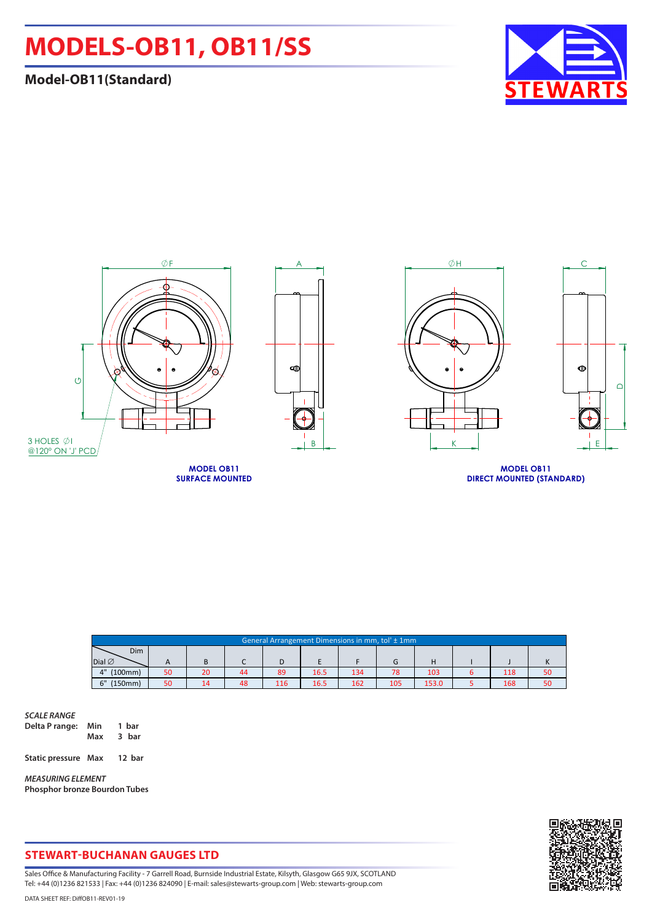## **MODELS-OB11, OB11/SS**

## **Model-OB11(Standard)**





| General Arrangement Dimensions in mm, tol' ± 1mm |    |    |    |     |      |     |     |       |  |     |    |
|--------------------------------------------------|----|----|----|-----|------|-----|-----|-------|--|-----|----|
| Dim                                              |    |    |    |     |      |     |     |       |  |     |    |
| Dial $\varnothing$                               |    |    |    |     |      |     |     |       |  |     |    |
| (100mm)<br>4"                                    | 50 | 20 | 44 | 89  | 16.5 | 134 | 78  | 103   |  | 118 | 50 |
| ና"<br>(150mm)                                    | 50 | 14 | 48 | 116 | 16.5 | 162 | 105 | 153.0 |  | 168 | 50 |

*SCALE RANGE* **Delta P range: Min 1 bar 3** bar **Static pressure Max 12 bar**

*MEASURING ELEMENT* **Phosphor bronze Bourdon Tubes**



## **STEWART-BUCHANAN GAUGES LTD**

Sales Office & Manufacturing Facility - 7 Garrell Road, Burnside Industrial Estate, Kilsyth, Glasgow G65 9JX, SCOTLAND Tel: +44 (0)1236 821533 | Fax: +44 (0)1236 824090 | E-mail: sales@stewarts-group.com | Web: stewarts-group.com

DATA SHEET REF: DiffOB11-REV01-19